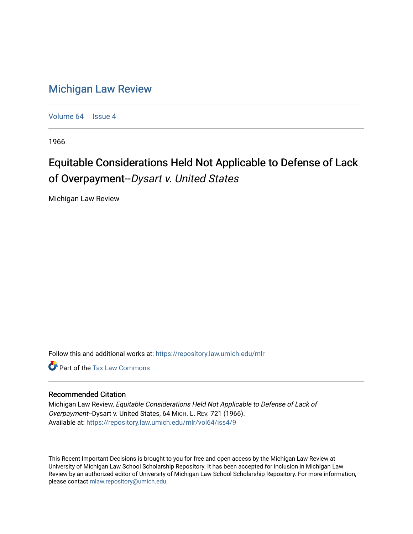## [Michigan Law Review](https://repository.law.umich.edu/mlr)

[Volume 64](https://repository.law.umich.edu/mlr/vol64) | [Issue 4](https://repository.law.umich.edu/mlr/vol64/iss4)

1966

## Equitable Considerations Held Not Applicable to Defense of Lack of Overpayment--Dysart v. United States

Michigan Law Review

Follow this and additional works at: [https://repository.law.umich.edu/mlr](https://repository.law.umich.edu/mlr?utm_source=repository.law.umich.edu%2Fmlr%2Fvol64%2Fiss4%2F9&utm_medium=PDF&utm_campaign=PDFCoverPages) 

**C** Part of the [Tax Law Commons](http://network.bepress.com/hgg/discipline/898?utm_source=repository.law.umich.edu%2Fmlr%2Fvol64%2Fiss4%2F9&utm_medium=PDF&utm_campaign=PDFCoverPages)

## Recommended Citation

Michigan Law Review, Equitable Considerations Held Not Applicable to Defense of Lack of Overpayment--Dysart v. United States, 64 MICH. L. REV. 721 (1966). Available at: [https://repository.law.umich.edu/mlr/vol64/iss4/9](https://repository.law.umich.edu/mlr/vol64/iss4/9?utm_source=repository.law.umich.edu%2Fmlr%2Fvol64%2Fiss4%2F9&utm_medium=PDF&utm_campaign=PDFCoverPages)

This Recent Important Decisions is brought to you for free and open access by the Michigan Law Review at University of Michigan Law School Scholarship Repository. It has been accepted for inclusion in Michigan Law Review by an authorized editor of University of Michigan Law School Scholarship Repository. For more information, please contact [mlaw.repository@umich.edu.](mailto:mlaw.repository@umich.edu)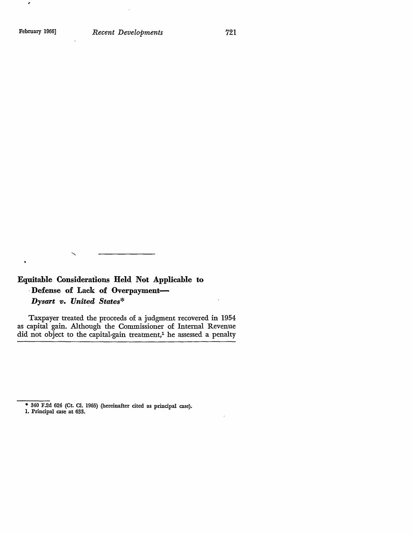$\pmb{\cdot}$ 

721

**Equitable Considerations Held Not Applicable to**  · **Defense of Lack of Overpayment-***Dysart v. United States\** 

Taxpayer treated the proceeds of a judgment recovered in 1954 as capital gain. Although the Commissioner of Internal Revenue did not object to the capital-gain treatment,<sup>1</sup> he assessed a penalty

**l. Principal case at 633.** 

<sup>•</sup> **840 F.2d 624 {Ct. Cl. 1965) {hereinafter cited as principal case).**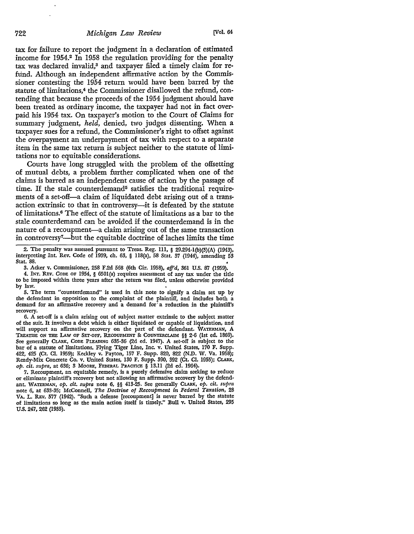tax for failure to report the judgment in a declaration of estimated income for 1954.<sup>2</sup> In 1958 the regulation providing for the penalty tax was declared invalid,8 and taxpayer filed a timely claim for refund. Although an independent affirmative action by the Commissioner contesting the 1954 return would have been barred by the statute of limitations,4 the Commissioner disallowed the refund, contending that because the proceeds of the 1954 judgment should have been treated as ordinary income, the taxpayer had not in fact overpaid his 1954 tax. On taxpayer's motion to the Court of Claims for summary judgment, *held*, denied, two judges dissenting. When a taxpayer sues for a refund, the Commissioner's right to offset against the overpayment an underpayment of tax with respect to a separate item in the same tax return is subject neither to the statute of limitations nor to equitable considerations.

Courts have long struggled with the problem of the offsetting of mutual debts, a problem further complicated when one of the claims is barred as an independent cause of action by the passage of time. If the stale counterdemand<sup>5</sup> satisfies the traditional requirements of a set-off—a claim of liquidated debt arising out of a transaction extrinsic to that in controversy-it is defeated by the statute of limitations.6 The effect of the statute of limitations as a bar to the stale counterdemand can be avoided if the counterdemand is in the nature of a recoupment—a claim arising out of the same transaction in controversy<sup>7</sup> -but the equitable doctrine of laches limits the time

2. The penalty was assessed pursuant to Treas. Reg. 111, § 29.294-l(b)(3)(A) (1943), interpreting Int. Rev. Code of 1939, ch. 63, § 118(a), 58 Stat. 37 (1944), amending 53 Stat. 88.  $\bullet$ 

3. Acker v. Commissioner, 258 F.2d 568 (6th Cir. 1958), *afj'd,* 361 U.S. 87 (1959).

4. INT. REV. CODE OF 1954, § 650l(a) requires assessment of any tax under the title to be imposed within three years after the return was filed, unless otherwise provided by law.

5. The term "counterdemand" is used in this note to signify a claim set up by the defendant in opposition to the complaint of the plaintiff, and includes both a demand for an affirmative recovery and a demand for· a reduction in the plaintiff's recovery.

6. A set-off is a claim arising out of subject matter extrinsic to the subject matter of the suit. It involves a debt which is either liquidated or capable of liquidation, and will support an affirmative recovery on the part of the defendant. WATERMAN, A TREATISE ON THE LAW OF SET-OFF, RECOUPMENT & COUNTERCLAIM §§ 2-6 (1st ed. 1869). See generally CLARK, CODE PLEADING 635-36 (2d ed. 1947). A set-off is subject to the bar of a statute of limitations. Flying Tiger Line, Inc. v. United States, 170 F. Supp. 422, 425 (Ct. Cl. 1959); Keckley v. Payton, 157 F. Supp. 820, 822 (N.D. W. Va. 1958); Ready-Mix Concrete Co. v. United States, 130 F. Supp. 390, 392 (Ct. CI. 1955); CLARK, *op. cit. supra,* at 636; 3 MooRE, FEDERAL PRACTICE § 13.11 (2d ed. 1964).

7. Recoupment, an equitable remedy, is a purely defensive claim seeking to reduce or eliminate plaintiff's recovery but not allowing an affirmative recovery by the defendant. WATERMAN, *op. cit. supra* note 6, §§ 413-25. See generally CLARK, *op, cit, supra*  note 6, at 633-35; McConnell, *The Doctrine of Recoupment in Federal Taxation,* 28 VA. L. REV. 577 (1942). "Such a defense [recoupment] is never barred by the statute of limitations so long as the main action itself is timely." Bull v. United States, 295 U.S. 247,262 (1935).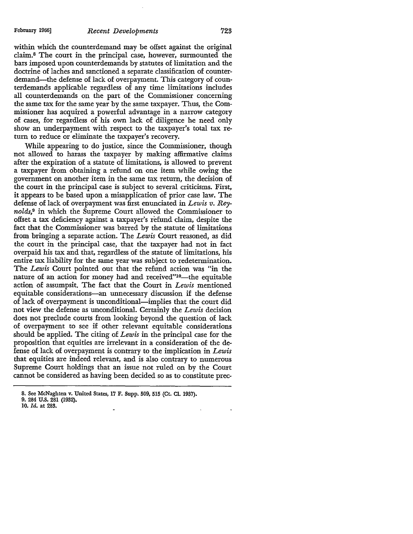## February 1966] *Recent Developments* 723

within which the counterdemand may be offset against the original claim.8 The court in the principal case, however, surmounted the bars imposed upon counterdemands by statutes of limitation and the doctrine of laches and sanctioned a separate classification of counterdemand—the defense of lack of overpayment. This category of counterdemands applicable regardless of any time limitations includes all counterdemands on the part of the Commissioner concerning the same tax for the same year by the same taxpayer. Thus, the Commissioner has acquired a powerful advantage in a narrow category of cases, for regardless of his own lack of diligence he need only show an underpayment with respect to the taxpayer's total tax return to reduce or eliminate the taxpayer's recovery.

While appearing to do justice, since the Commissioner, though not allowed to harass the taxpayer by making affirmative claims after the expiration of a statute of limitations, is allowed to prevent a taxpayer from obtaining a refund on one item while owing the government on another item in the same tax return, the decision of the court in the principal case is subject to several criticisms. First, it appears to be based upon a misapplication of prior case law. The defense of lack of overpayment was first enunciated in *Lewis v. Reynolds,9* in which the Supreme Court allowed the Commissioner to offset a tax deficiency against a taxpayer's refund claim, despite the £act that the Commissioner was barred by the statute of limitations from bringing a separate action. The *Lewis* Court reasoned, as did the court in the principal case, that the taxpayer had not in £act overpaid his tax and that, regardless of the statute of limitations, his entire tax liability for the same year was subject to redetermination. The *Lewis* Court pointed out that the refund action was "in the nature of an action for money had and received"<sup>10</sup>-the equitable action of assumpsit. The £act that the Court in *Lewis* mentioned equitable considerations-an unnecessary discussion if the defense of lack of overpayment is unconditional-implies that the court did not view the defense as unconditional. Certainly the *Lewis* decision does not preclude courts from looking beyond the question of lack of overpayment to see if other relevant equitable considerations should be applied. The citing of *Lewis* in the principal case for the proposition that equities are irrelevant in a consideration of the defense of lack of overpayment is contrary to the implication in *Lewis*  that equities are indeed relevant, and is also contrary to numerous Supreme Court holdings that an issue not ruled on by the Court cannot be considered as having been decided so as to constitute prec-

10. *Id.* at 283.

<sup>8.</sup> See McNaghten v. United States, 17 F. Supp. 509, 515 (Ct. Cl. 1937). 9. 284 U.S. 281 (1932).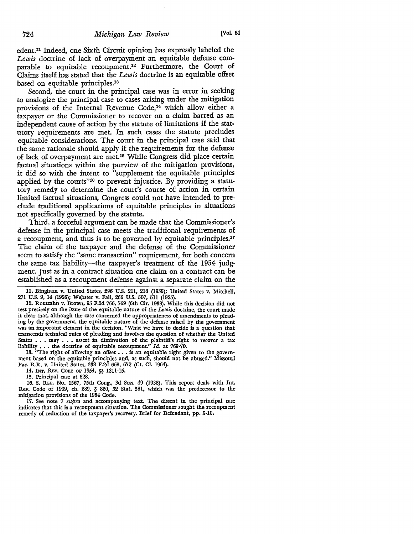edent.<sup>11</sup> Indeed, one Sixth Circuit opinion has expressly labeled the *Lewis* doctrine of lack of overpayment an equitable defense comparable to equitable recoupment.12 Furthermore, the Court of Claims itself has stated that the *Lewis* doctrine is an equitable offset based on equitable principles.13

Second, the court in the principal case was in error in seeking to analogize the principal case to cases arising under the mitigation provisions of the Internal Revenue Code,<sup>14</sup> which allow either a taxpayer or the Commissioner to recover on a claim barred as an independent cause of action by the statute of limitations if the statutory requirements are met. In such cases the statute precludes equitable considerations. The court in the principal case said that the same rationale should apply if the requirements for the defense of lack of overpayment are met.15 While Congress did place certain factual situations within the purview of the mitigation provisions, it did so with the intent to "supplement the equitable principles applied by the courts"<sup>16</sup> to prevent injustice. By providing a statutory remedy to determine the court's course of action in certain limited factual situations, Congress could not have intended to preclude traditional applications of equitable principles in situations not specifically governed by the statute.

Third, a forceful argument can be made that the Commissioner's defense in the principal case meets the traditional requirements of a recoupment, and thus is to be governed by equitable principles.<sup>17</sup> The claim of the taxpayer and the defense of the Commissioner seem to satisfy the "same transaction" requirement, for both concern the same tax liability-the taxpayer's treatment of the 1954 judgment. Just as in a contract situation one daim on a contract can be established as a recoupment defense against a separate claim on the

12. Routzahn v. Brown, 95 F.2d 766, 769 (6th Cir. 1938). While this decision did not rest precisely on the issue of the equitable nature of the *Lewis* doctrine, the court made it clear that, although the case concerned the appropriateness of amendments to plead• ing by the govemment, the equitable nature of the defense raised by the government was an important element in the decision. "What we have to decide is a question that transcends technical rules of pleading and involves the question of whether the United States . . . may . . . assert in diminution of the plaintifi's right to recover a tax liability . . . the doctrine of equitable recoupment." *Id.* at 769-70.

13. "The right of allowing an offset . . . is an equitable right given to the government based on the equitable principles and, as such, should not be abused," Missouri Pac. R.R. v. United States, 338 F.2d 668, 672 (Ct. Cl. 1964).

14. INT. REV. CODE OF 1954, §§ 1311-15.

15. Principal case at 628.

16. S. REP. No. 1567, 75th Cong., 3d Sess. 49 (1938). This report deals with Int. Rev. Code of 1939, ch. 289, § 820, 52 Stat. 581, which was the predecessor **to** the mitigation provisions of the 1954 Code.

17. See note 7 *supra* and accompanying text. The dissent in the principal case indicates that this is a recoupment situation. The Commissioner sought the recoupment remedy of reduction of the taxpayer's recovery. Brief for Defendant, pp. 5·10,

<sup>11.</sup> Bingham v. United States, 296 U.S. 211, 218 (1935); United States v. Mitchell, 271 U.S. 9, 14 (1926); Wepster v. Fall, 266 U.S. 507, 511 (1925).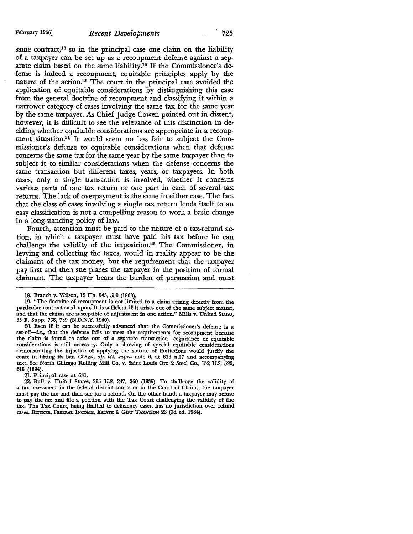same contract, $18$  so in the principal case one claim on the liability of a taxpayer can be set up as a recoupment defense against a separate claim based on the same liability.19 If the Commissioner's defense is indeed a recoupment, equitable principles apply by the nature of the action.20 The court in the principal case avoided the application of equitable considerations by distinguishing this case from the general doctrine of recoupment and classifying it within a narrower category of cases involving the same tax for the same year by the same taxpayer. As Chief Judge Cowen pointed out in dissent, however, it is difficult to see the relevance of this distinction in deciding whether equitable considerations are appropriate in a recoupment situation.<sup>21</sup> It would seem no less fair to subject the Commissioner's defense to equitable considerations when that defense concerns the same tax for the same year by the same taxpayer than to subject it to similar considerations when the defense concerns the same transaction but different taxes, years, or taxpayers. In both cases, only a single transaction is involved, whether it concerns various parts of one tax return or one part in each of several tax returns. The lack of overpayment is the same in either case. The fact that the class of cases involving a single tax return lends itself to an easy classification is not a compelling reason to work a basic change in a long-standing policy of law.

Fourth, attention must be paid to the nature of a tax-refund action, in which a taxpayer must have paid his tax before he can challenge the validity of the imposition.22 The Commissioner, in levying and collecting the taxes, would in reality appear to be the claimant of the tax money, but the requirement that the taxpayer pay first and then sue places the taxpayer in the position of formal claimant. The taxpayer bears the burden of persuasion and must

20. Even if it can be successfully advanced that the Commissioner's defense is a set-off-i.e., that the defense fails to meet the requirements for recoupment because the claim is found to arise out of a separate transaction-cognizance of equitable considerations is still necessary. Only a showing of special equitable considerations demonstrating the injustice of applying the statute of limitations would justify the court in lifting its bar. CLARK, *op. cit. supra* note 6, at 636 n.17 and accompanying text. See North Chicago Rolling Mill Co. v. Saint Louis Ore & Steel Co., 152 U.S. 596, 615 (1894).

21. Principal case at 631.

22. Bull v. United States, 295 U.S. 247, 260 (1935). To challenge the validity of a tax assessment in the federal district courts or in the Court of Claims, the taxpayer must pay the tax and then sue for a refund. On the other hand, a taxpayer may refuse to pay the tax and file a petition with the Tax Court challenging the validity of the tax. The Tax Court, being limited to deficiency cases, has no jurisdiction over refund cases. BrrrKER, FEDERAL INCOME, EsrATE & GIFr TAXATION 23 (3d ed. 1964).

<sup>18.</sup> Branch v. Wilson, 12 Fla. 543, 550 (1868).

<sup>19. &</sup>quot;The doctrine of recoupment is not limited to a claim arising directly from the particular contract sued upon. It is sufficient if it arises out of the same subject matter, and that the claims are susceptible of adjustment in one action." **Mills v.** United States, 35 F. Supp. 738, 739 (N.D.N.Y. 1940).